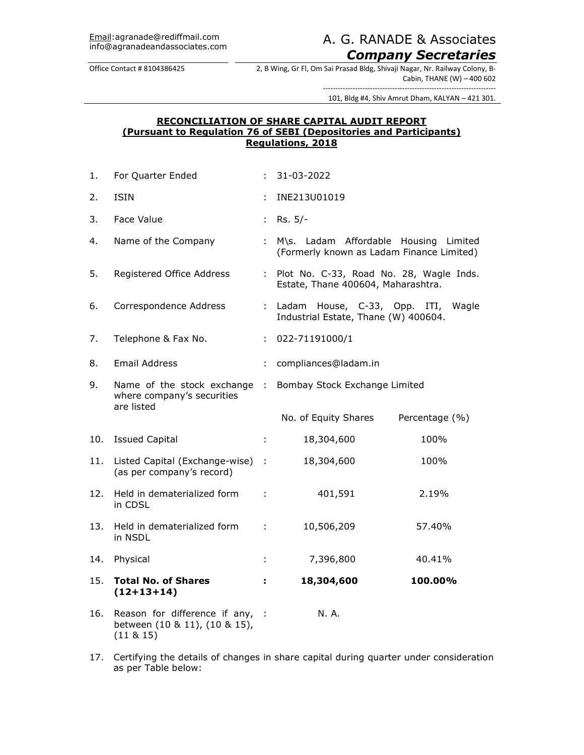# A. G. RANADE & Associates. *Company Secretaries*

Office Contact # 8104386425 2, B Wing, Gr Fl, Om Sai Prasad Bldg, Shivaji Nagar, Nr. Railway Colony, B-Cabin, THANE (W) – 400 602

> ---------------------------------------------------------------------- 101, Bldg #4, Shiv Amrut Dham, KALYAN – 421 301.

## **RECONCILIATION OF SHARE CAPITAL AUDIT REPORT (Pursuant to Regulation 76 of SEBI (Depositories and Participants) Regulations, 2018**

| 1.  | For Quarter Ended                                                            |                   | 31-03-2022                                                                         |                |
|-----|------------------------------------------------------------------------------|-------------------|------------------------------------------------------------------------------------|----------------|
| 2.  | <b>ISIN</b>                                                                  |                   | INE213U01019                                                                       |                |
| 3.  | Face Value                                                                   | ÷.                | $Rs. 5/-$                                                                          |                |
| 4.  | Name of the Company                                                          | ÷.                | M\s. Ladam Affordable Housing Limited<br>(Formerly known as Ladam Finance Limited) |                |
| 5.  | Registered Office Address                                                    | t.                | Plot No. C-33, Road No. 28, Wagle Inds.<br>Estate, Thane 400604, Maharashtra.      |                |
| 6.  | Correspondence Address                                                       | ÷.                | Ladam House, C-33, Opp. ITI,<br>Industrial Estate, Thane (W) 400604.               | Wagle          |
| 7.  | Telephone & Fax No.                                                          | ÷.                | 022-71191000/1                                                                     |                |
| 8.  | <b>Email Address</b>                                                         | ÷                 | compliances@ladam.in                                                               |                |
| 9.  | Name of the stock exchange<br>where company's securities<br>are listed       | $\sim$ 100 $\sim$ | Bombay Stock Exchange Limited                                                      |                |
|     |                                                                              |                   | No. of Equity Shares                                                               | Percentage (%) |
| 10. | <b>Issued Capital</b>                                                        | ÷.                | 18,304,600                                                                         | 100%           |
| 11. | Listed Capital (Exchange-wise) :<br>(as per company's record)                |                   | 18,304,600                                                                         | 100%           |
| 12. | Held in dematerialized form<br>in CDSL                                       | ÷                 | 401,591                                                                            | 2.19%          |
| 13. | Held in dematerialized form<br>in NSDL                                       | ÷                 | 10,506,209                                                                         | 57.40%         |
| 14. | Physical                                                                     | t.                | 7,396,800                                                                          | 40.41%         |
| 15. | <b>Total No. of Shares</b><br>$(12+13+14)$                                   | ÷.                | 18,304,600                                                                         | 100.00%        |
| 16. | Reason for difference if any,<br>between (10 & 11), (10 & 15),<br>(11 & 815) | $\cdot$ :         | N. A.                                                                              |                |

17. Certifying the details of changes in share capital during quarter under consideration as per Table below: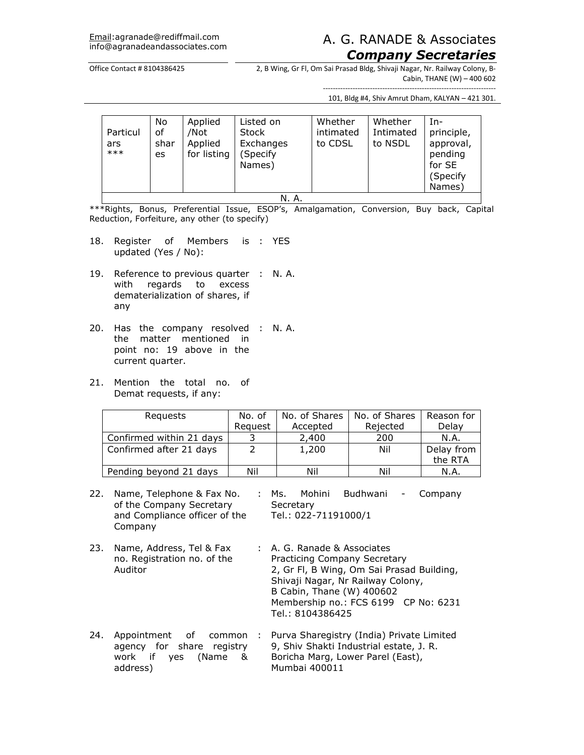## Email:agranade@rediffmail.com A. G. RANADE & Associates *Company Secretaries*

#### Office Contact # 8104386425 2, B Wing, Gr Fl, Om Sai Prasad Bldg, Shivaji Nagar, Nr. Railway Colony, B-Cabin, THANE (W) – 400 602

---------------------------------------------------------------------- 101, Bldg #4, Shiv Amrut Dham, KALYAN – 421 301.

| Particul<br>ars<br>$***$ | No<br>οf<br>shar<br>es | Applied<br>/Not<br>Applied<br>for listing | Listed on<br><b>Stock</b><br>Exchanges<br>(Specify<br>Names) | Whether<br>intimated<br>to CDSL | Whether<br>Intimated<br>to NSDL | -In<br>principle,<br>approval,<br>pending<br>for SE<br>(Specify<br>Names) |
|--------------------------|------------------------|-------------------------------------------|--------------------------------------------------------------|---------------------------------|---------------------------------|---------------------------------------------------------------------------|
| N. A.                    |                        |                                           |                                                              |                                 |                                 |                                                                           |

\*\*\*Rights, Bonus, Preferential Issue, ESOP's, Amalgamation, Conversion, Buy back, Capital Reduction, Forfeiture, any other (to specify)

- 18. Register of Members is : YES updated (Yes / No):
- 19. Reference to previous quarter : N. A. with regards to excess dematerialization of shares, if any
- 20. Has the company resolved : N. A. the matter mentioned in point no: 19 above in the current quarter.
- 21. Mention the total no. of Demat requests, if any:

| Requests                 | No. of  | No. of Shares | No. of Shares | Reason for |
|--------------------------|---------|---------------|---------------|------------|
|                          | Request | Accepted      | Rejected      | Delay      |
| Confirmed within 21 days |         | 2,400         | 200           | N.A.       |
| Confirmed after 21 days  |         | 1,200         | Nil           | Delay from |
|                          |         |               |               | the RTA    |
| Pending beyond 21 days   | Nil     | Nil           | Nil           | N.A.       |

22. Name, Telephone & Fax No. of the Company Secretary and Compliance officer of the Company : Ms. Mohini Budhwani - Company **Secretary** Tel.: 022-71191000/1

- 23. Name, Address, Tel & Fax no. Registration no. of the Auditor : A. G. Ranade & Associates Practicing Company Secretary 2, Gr Fl, B Wing, Om Sai Prasad Building, Shivaji Nagar, Nr Railway Colony, B Cabin, Thane (W) 400602 Membership no.: FCS 6199 CP No: 6231 Tel.: 8104386425
- 24. Appointment of common agency for share registry work if yes (Name & address) : Purva Sharegistry (India) Private Limited 9, Shiv Shakti Industrial estate, J. R. Boricha Marg, Lower Parel (East), Mumbai 400011